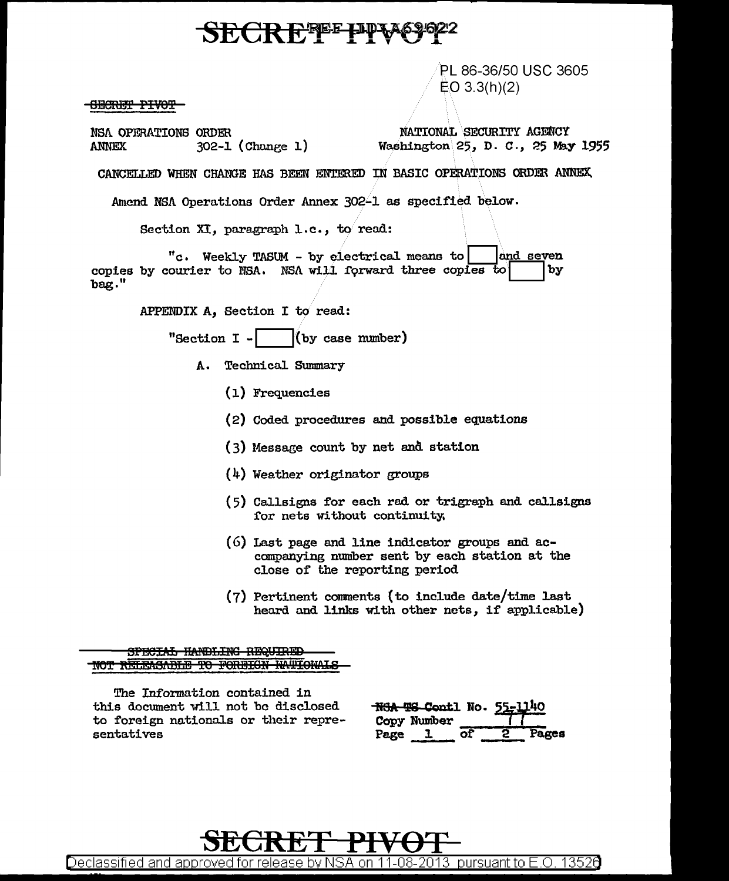## SECREPPE PPV

PL 86-36/50 USC 3605 EO 3.3(h)(2)

<del>OBCRET PIVOT</del>

NSA OPERATIONS ORDER NATIONAL SECURITY AGENCY<br>ANNEX 302-1 (Change 1) Washington 25, D. C., 25 May

Washington 25, D. C., 25 May 1955

CANCELLED WHEN CHANGE HAS BEEN ENTERED IN BASIC OPERATIONS ORDER ANNEX.

Amend NSA Operations Order Annex 302-1 as specified below.

Section XI, paragraph 1.c., to read:

"c. Weekly TASUM - by electrical means to **Deat Communist Communist Communist Communist Communist Communist Comm**<br>ourier to NSA. NSA will forward three copies to Do copies by courier to NSA. NSA will forward three copies to bag."

APPENDIX A, Section I to read:

"Section  $I -$  (by case number)

- A. Technical Summary
	- (l) Frequencies
	- (2) Coded procedures and possible equations
	- ( 3) Messaee count by net and station
	- (4) Weather originator groups
	- $(5)$  Callsigns for each rad or trigraph and callsigns for nets without continuity.
	- $(6)$  Last page and line indicator groups and accompanying number sent by each station at the close of' the reporting period
	- (7) Pertinent comments (to include date/time last heard and links with other nets, if applicable)

SPECIAL HANDLING REQUIRED NOT RELEASABLE TO FOREIGN HATIONALS

The Information contained in this document will not be disclosed to foreign nationals or their representatives

|      | <del>NGA TS Co</del> ntl No. 55-1140 |    |       |
|------|--------------------------------------|----|-------|
|      | Copy Number                          |    |       |
| Page |                                      | ΩŤ | Pages |



Declassified and approved for release by NSA on 11-08-2013 pursuant to E .0. 1352a